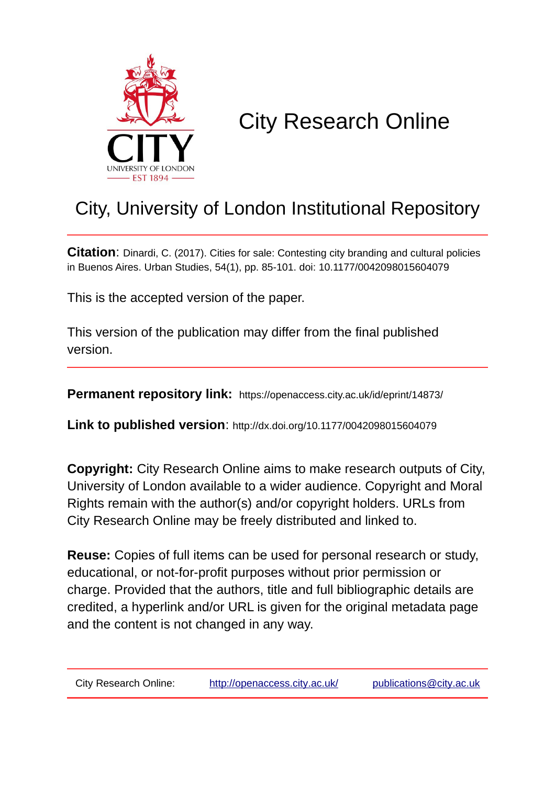

# City Research Online

## City, University of London Institutional Repository

**Citation**: Dinardi, C. (2017). Cities for sale: Contesting city branding and cultural policies in Buenos Aires. Urban Studies, 54(1), pp. 85-101. doi: 10.1177/0042098015604079

This is the accepted version of the paper.

This version of the publication may differ from the final published version.

**Permanent repository link:** https://openaccess.city.ac.uk/id/eprint/14873/

**Link to published version**: http://dx.doi.org/10.1177/0042098015604079

**Copyright:** City Research Online aims to make research outputs of City, University of London available to a wider audience. Copyright and Moral Rights remain with the author(s) and/or copyright holders. URLs from City Research Online may be freely distributed and linked to.

**Reuse:** Copies of full items can be used for personal research or study, educational, or not-for-profit purposes without prior permission or charge. Provided that the authors, title and full bibliographic details are credited, a hyperlink and/or URL is given for the original metadata page and the content is not changed in any way.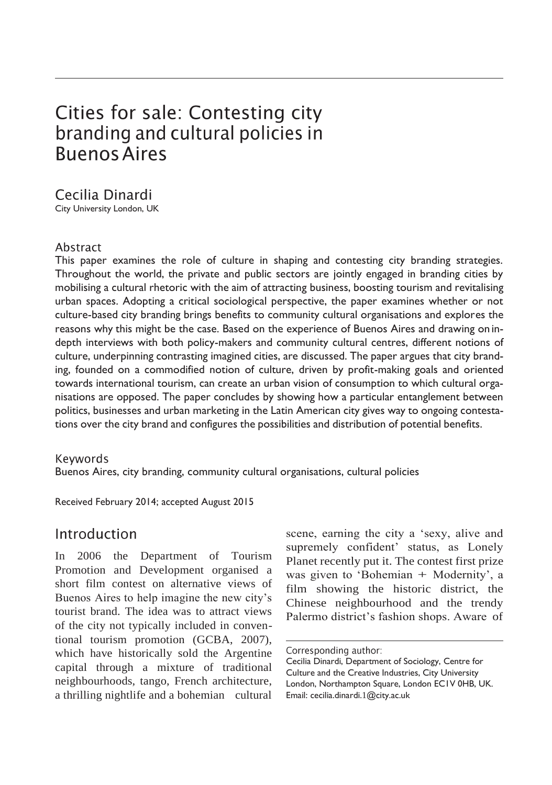## Cities for sale: Contesting city branding and cultural policies in **Buenos Aires**

#### Cecilia Dinardi

City University London, UK

#### Abstract

This paper examines the role of culture in shaping and contesting city branding strategies. Throughout the world, the private and public sectors are jointly engaged in branding cities by mobilising a cultural rhetoric with the aim of attracting business, boosting tourism and revitalising urban spaces. Adopting a critical sociological perspective, the paper examines whether or not culture-based city branding brings benefits to community cultural organisations and explores the reasons why this might be the case. Based on the experience of Buenos Aires and drawing on indepth interviews with both policy-makers and community cultural centres, different notions of culture, underpinning contrasting imagined cities, are discussed. The paper argues that city branding, founded on a commodified notion of culture, driven by profit-making goals and oriented towards international tourism, can create an urban vision of consumption to which cultural organisations are opposed. The paper concludes by showing how a particular entanglement between politics, businesses and urban marketing in the Latin American city gives way to ongoing contestations over the city brand and configures the possibilities and distribution of potential benefits.

#### Keywords

Buenos Aires, city branding, community cultural organisations, cultural policies

Received February 2014; accepted August 2015

#### Introduction

In 2006 the Department of Tourism Promotion and Development organised a short film contest on alternative views of Buenos Aires to help imagine the new city's tourist brand. The idea was to attract views of the city not typically included in conventional tourism promotion (GCBA, 2007), which have historically sold the Argentine capital through a mixture of traditional neighbourhoods, tango, French architecture, a thrilling nightlife and a bohemian cultural

scene, earning the city a 'sexy, alive and supremely confident' status, as Lonely Planet recently put it. The contest first prize was given to 'Bohemian  $+$  Modernity', a film showing the historic district, the Chinese neighbourhood and the trendy Palermo district's fashion shops. Aware of

Corresponding author:

Cecilia Dinardi, Department of Sociology, Centre for Culture and the Creative Industries, City University London, Northampton Square, London EC1V 0HB, UK. Email: [cecilia.dinardi.](mailto:cecilia.dinardi.1@city.ac.uk)1@city.ac.uk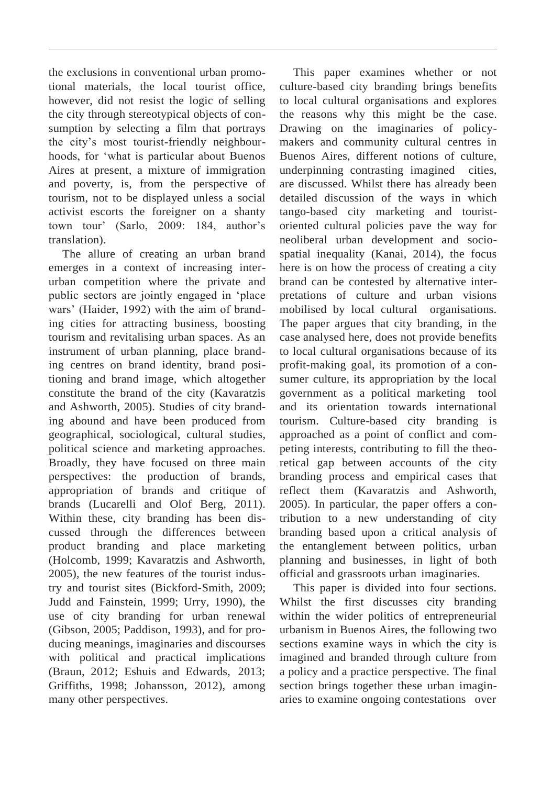the exclusions in conventional urban promotional materials, the local tourist office, however, did not resist the logic of selling the city through stereotypical objects of consumption by selecting a film that portrays the city's most tourist-friendly neighbourhoods, for 'what is particular about Buenos Aires at present, a mixture of immigration and poverty, is, from the perspective of tourism, not to be displayed unless a social activist escorts the foreigner on a shanty town tour' (Sarlo, 2009: 184, author's translation).

The allure of creating an urban brand emerges in a context of increasing interurban competition where the private and public sectors are jointly engaged in 'place wars' (Haider, 1992) with the aim of branding cities for attracting business, boosting tourism and revitalising urban spaces. As an instrument of urban planning, place branding centres on brand identity, brand positioning and brand image, which altogether constitute the brand of the city (Kavaratzis and Ashworth, 2005). Studies of city branding abound and have been produced from geographical, sociological, cultural studies, political science and marketing approaches. Broadly, they have focused on three main perspectives: the production of brands, appropriation of brands and critique of brands (Lucarelli and Olof Berg, 2011). Within these, city branding has been discussed through the differences between product branding and place marketing (Holcomb, 1999; Kavaratzis and Ashworth, 2005), the new features of the tourist industry and tourist sites (Bickford-Smith, 2009; Judd and Fainstein, 1999; Urry, 1990), the use of city branding for urban renewal (Gibson, 2005; Paddison, 1993), and for producing meanings, imaginaries and discourses with political and practical implications (Braun, 2012; Eshuis and Edwards, 2013; Griffiths, 1998; Johansson, 2012), among many other perspectives.

This paper examines whether or not culture-based city branding brings benefits to local cultural organisations and explores the reasons why this might be the case. Drawing on the imaginaries of policymakers and community cultural centres in Buenos Aires, different notions of culture, underpinning contrasting imagined cities, are discussed. Whilst there has already been detailed discussion of the ways in which tango-based city marketing and touristoriented cultural policies pave the way for neoliberal urban development and sociospatial inequality (Kanai, 2014), the focus here is on how the process of creating a city brand can be contested by alternative interpretations of culture and urban visions mobilised by local cultural organisations. The paper argues that city branding, in the case analysed here, does not provide benefits to local cultural organisations because of its profit-making goal, its promotion of a consumer culture, its appropriation by the local government as a political marketing tool and its orientation towards international tourism. Culture-based city branding is approached as a point of conflict and competing interests, contributing to fill the theoretical gap between accounts of the city branding process and empirical cases that reflect them (Kavaratzis and Ashworth, 2005). In particular, the paper offers a contribution to a new understanding of city branding based upon a critical analysis of the entanglement between politics, urban planning and businesses, in light of both official and grassroots urban imaginaries.

This paper is divided into four sections. Whilst the first discusses city branding within the wider politics of entrepreneurial urbanism in Buenos Aires, the following two sections examine ways in which the city is imagined and branded through culture from a policy and a practice perspective. The final section brings together these urban imaginaries to examine ongoing contestations over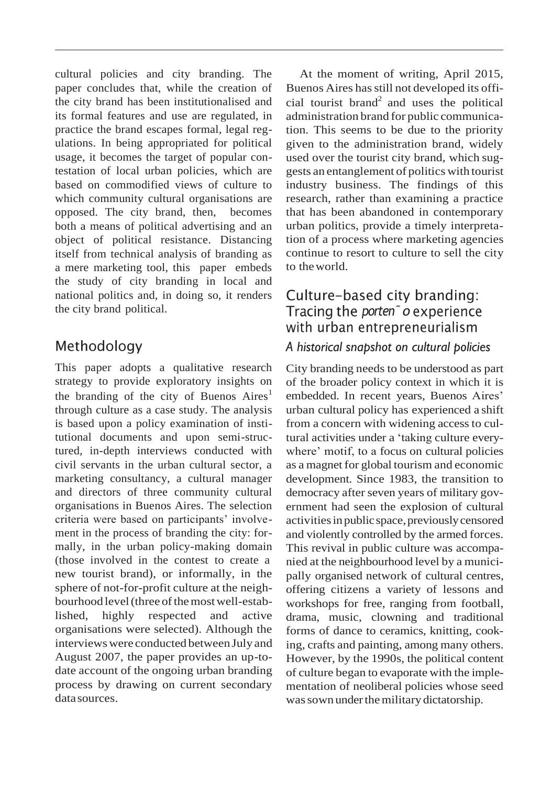cultural policies and city branding. The paper concludes that, while the creation of the city brand has been institutionalised and its formal features and use are regulated, in practice the brand escapes formal, legal regulations. In being appropriated for political usage, it becomes the target of popular contestation of local urban policies, which are based on commodified views of culture to which community cultural organisations are opposed. The city brand, then, becomes both a means of political advertising and an object of political resistance. Distancing itself from technical analysis of branding as a mere marketing tool, this paper embeds the study of city branding in local and national politics and, in doing so, it renders the city brand political.

### Methodology

This paper adopts a qualitative research strategy to provide exploratory insights on the branding of the city of Buenos  $Aires<sup>1</sup>$ through culture as a case study. The analysis is based upon a policy examination of institutional documents and upon semi-structured, in-depth interviews conducted with civil servants in the urban cultural sector, a marketing consultancy, a cultural manager and directors of three community cultural organisations in Buenos Aires. The selection criteria were based on participants' involvement in the process of branding the city: formally, in the urban policy-making domain (those involved in the contest to create a new tourist brand), or informally, in the sphere of not-for-profit culture at the neighbourhood level (three of the most well-established, highly respected and active organisations were selected). Although the interviewswere conducted betweenJuly and August 2007, the paper provides an up-todate account of the ongoing urban branding process by drawing on current secondary datasources.

At the moment of writing, April 2015, Buenos Aires hasstill not developed its official tourist brand<sup>2</sup> and uses the political administration brand for public communication. This seems to be due to the priority given to the administration brand, widely used over the tourist city brand, which suggests an entanglement of politics with tourist industry business. The findings of this research, rather than examining a practice that has been abandoned in contemporary urban politics, provide a timely interpretation of a process where marketing agencies continue to resort to culture to sell the city to theworld.

## Culture-based city branding: *<u>Tracing the porten<sup>* $\tilde{o}$ *</sup> experience</u>* with urban entrepreneurialism

#### *A historical snapshot on cultural policies*

City branding needs to be understood as part of the broader policy context in which it is embedded. In recent years, Buenos Aires' urban cultural policy has experienced a shift from a concern with widening access to cultural activities under a 'taking culture everywhere' motif, to a focus on cultural policies as a magnet for global tourism and economic development. Since 1983, the transition to democracy after seven years of military government had seen the explosion of cultural activitiesinpublicspace,previouslycensored and violently controlled by the armed forces. This revival in public culture was accompanied at the neighbourhood level by a municipally organised network of cultural centres, offering citizens a variety of lessons and workshops for free, ranging from football, drama, music, clowning and traditional forms of dance to ceramics, knitting, cooking, crafts and painting, among many others. However, by the 1990s, the political content of culture began to evaporate with the implementation of neoliberal policies whose seed was sown under the military dictatorship.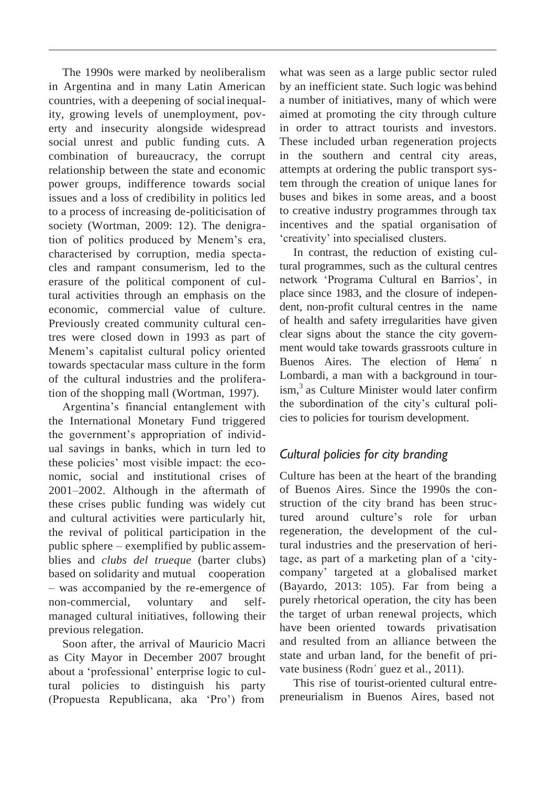The 1990s were marked by neoliberalism in Argentina and in many Latin American countries, with a deepening of socialinequality, growing levels of unemployment, poverty and insecurity alongside widespread social unrest and public funding cuts. A combination of bureaucracy, the corrupt relationship between the state and economic power groups, indifference towards social issues and a loss of credibility in politics led to a process of increasing de-politicisation of society (Wortman, 2009: 12). The denigration of politics produced by Menem's era, characterised by corruption, media spectacles and rampant consumerism, led to the erasure of the political component of cultural activities through an emphasis on the economic, commercial value of culture. Previously created community cultural centres were closed down in 1993 as part of Menem's capitalist cultural policy oriented towards spectacular mass culture in the form of the cultural industries and the proliferation of the shopping mall (Wortman, 1997).

Argentina's financial entanglement with the International Monetary Fund triggered the government's appropriation of individual savings in banks, which in turn led to these policies' most visible impact: the economic, social and institutional crises of 2001–2002. Although in the aftermath of these crises public funding was widely cut and cultural activities were particularly hit, the revival of political participation in the public sphere – exemplified by public assemblies and *clubs del trueque* (barter clubs) based on solidarity and mutual cooperation – was accompanied by the re-emergence of non-commercial, voluntary and selfmanaged cultural initiatives, following their previous relegation.

Soon after, the arrival of Mauricio Macri as City Mayor in December 2007 brought about a 'professional' enterprise logic to cultural policies to distinguish his party (Propuesta Republicana, aka 'Pro') from what was seen as a large public sector ruled by an inefficient state. Such logic was behind a number of initiatives, many of which were aimed at promoting the city through culture in order to attract tourists and investors. These included urban regeneration projects in the southern and central city areas, attempts at ordering the public transport system through the creation of unique lanes for buses and bikes in some areas, and a boost to creative industry programmes through tax incentives and the spatial organisation of 'creativity' into specialised clusters.

In contrast, the reduction of existing cultural programmes, such as the cultural centres network 'Programa Cultural en Barrios', in place since 1983, and the closure of independent, non-profit cultural centres in the name of health and safety irregularities have given clear signs about the stance the city government would take towards grassroots culture in Buenos Aires. The election of Herna´ n Lombardi, a man with a background in tourism,<sup>3</sup> as Culture Minister would later confirm the subordination of the city's cultural policies to policies for tourism development.

#### *Cultural policies for city branding*

Culture has been at the heart of the branding of Buenos Aires. Since the 1990s the construction of the city brand has been structured around culture's role for urban regeneration, the development of the cultural industries and the preservation of heritage, as part of a marketing plan of a 'citycompany' targeted at a globalised market (Bayardo, 2013: 105). Far from being a purely rhetorical operation, the city has been the target of urban renewal projects, which have been oriented towards privatisation and resulted from an alliance between the state and urban land, for the benefit of private business (Rodrı´ guez et al., 2011).

This rise of tourist-oriented cultural entrepreneurialism in Buenos Aires, based not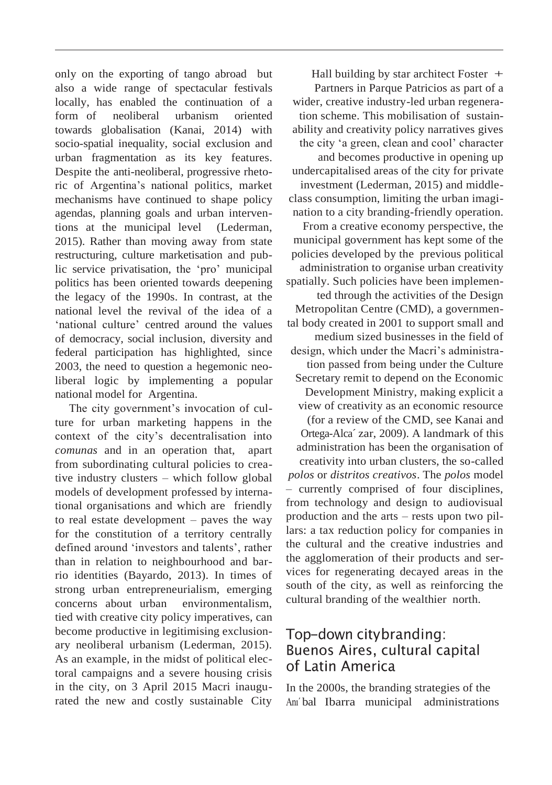only on the exporting of tango abroad but also a wide range of spectacular festivals locally, has enabled the continuation of a form of neoliberal urbanism oriented towards globalisation (Kanai, 2014) with socio-spatial inequality, social exclusion and urban fragmentation as its key features. Despite the anti-neoliberal, progressive rhetoric of Argentina's national politics, market mechanisms have continued to shape policy agendas, planning goals and urban interventions at the municipal level (Lederman, 2015). Rather than moving away from state restructuring, culture marketisation and public service privatisation, the 'pro' municipal politics has been oriented towards deepening the legacy of the 1990s. In contrast, at the national level the revival of the idea of a 'national culture' centred around the values of democracy, social inclusion, diversity and federal participation has highlighted, since 2003, the need to question a hegemonic neoliberal logic by implementing a popular national model for Argentina.

The city government's invocation of culture for urban marketing happens in the context of the city's decentralisation into *comunas* and in an operation that, apart from subordinating cultural policies to creative industry clusters – which follow global models of development professed by international organisations and which are friendly to real estate development – paves the way for the constitution of a territory centrally defined around 'investors and talents', rather than in relation to neighbourhood and barrio identities (Bayardo, 2013). In times of strong urban entrepreneurialism, emerging concerns about urban environmentalism, tied with creative city policy imperatives, can become productive in legitimising exclusionary neoliberal urbanism (Lederman, 2015). As an example, in the midst of political electoral campaigns and a severe housing crisis in the city, on 3 April 2015 Macri inaugurated the new and costly sustainable City

Hall building by star architect Foster  $+$ Partners in Parque Patricios as part of a wider, creative industry-led urban regeneration scheme. This mobilisation of sustainability and creativity policy narratives gives the city 'a green, clean and cool' character and becomes productive in opening up undercapitalised areas of the city for private investment (Lederman, 2015) and middleclass consumption, limiting the urban imagination to a city branding-friendly operation. From a creative economy perspective, the municipal government has kept some of the policies developed by the previous political administration to organise urban creativity spatially. Such policies have been implemented through the activities of the Design Metropolitan Centre (CMD), a governmental body created in 2001 to support small and medium sized businesses in the field of design, which under the Macri's administration passed from being under the Culture Secretary remit to depend on the Economic Development Ministry, making explicit a view of creativity as an economic resource (for a review of the CMD, see Kanai and Ortega-Alca´ zar, 2009). A landmark of this administration has been the organisation of creativity into urban clusters, the so-called *polos* or *distritos creativos*. The *polos* model – currently comprised of four disciplines, from technology and design to audiovisual production and the arts – rests upon two pillars: a tax reduction policy for companies in the cultural and the creative industries and the agglomeration of their products and services for regenerating decayed areas in the south of the city, as well as reinforcing the cultural branding of the wealthier north.

#### Top-down city branding: Buenos Aires, cultural capital of Latin America

In the 2000s, the branding strategies of the Anı´ bal Ibarra municipal administrations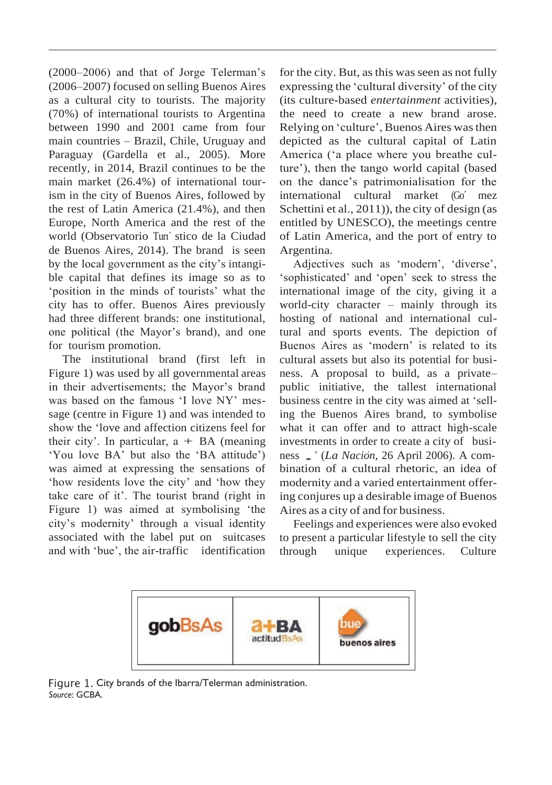(2000–2006) and that of Jorge Telerman's (2006–2007) focused on selling Buenos Aires as a cultural city to tourists. The majority (70%) of international tourists to Argentina between 1990 and 2001 came from four main countries – Brazil, Chile, Uruguay and Paraguay (Gardella et al., 2005). More recently, in 2014, Brazil continues to be the main market (26.4%) of international tourism in the city of Buenos Aires, followed by the rest of Latin America (21.4%), and then Europe, North America and the rest of the world (Observatorio Turı´ stico de la Ciudad de Buenos Aires, 2014). The brand is seen by the local government as the city's intangible capital that defines its image so as to 'position in the minds of tourists' what the city has to offer. Buenos Aires previously had three different brands: one institutional, one political (the Mayor's brand), and one for tourism promotion.

The institutional brand (first left in Figure 1) was used by all governmental areas in their advertisements; the Mayor's brand was based on the famous 'I love NY' message (centre in Figure 1) and was intended to show the 'love and affection citizens feel for their city'. In particular,  $a + BA$  (meaning 'You love BA' but also the 'BA attitude') was aimed at expressing the sensations of 'how residents love the city' and 'how they take care of it'. The tourist brand (right in Figure 1) was aimed at symbolising 'the city's modernity' through a visual identity associated with the label put on suitcases and with 'bue', the air-traffic identification for the city. But, as this was seen as not fully expressing the 'cultural diversity' of the city (its culture-based *entertainment* activities), the need to create a new brand arose. Relying on 'culture', Buenos Aires wasthen depicted as the cultural capital of Latin America ('a place where you breathe culture'), then the tango world capital (based on the dance's patrimonialisation for the international cultural market (Go´ mez Schettini et al., 2011)), the city of design (as entitled by UNESCO), the meetings centre of Latin America, and the port of entry to Argentina.

Adjectives such as 'modern', 'diverse', 'sophisticated' and 'open' seek to stress the international image of the city, giving it a world-city character – mainly through its hosting of national and international cultural and sports events. The depiction of Buenos Aires as 'modern' is related to its cultural assets but also its potential for business. A proposal to build, as a private– public initiative, the tallest international business centre in the city was aimed at 'selling the Buenos Aires brand, to symbolise what it can offer and to attract high-scale investments in order to create a city of busiwhat it can offer and to attract high-scale<br>investments in order to create a city of busi-<br>ness \_' (*La Nación*, 26 April 2006). A com-<br>hinetion of a quittural thatoria, an idea of bination of a cultural rhetoric, an idea of modernity and a varied entertainment offering conjures up a desirable image of Buenos Aires as a city of and for business.

Feelings and experiences were also evoked to present a particular lifestyle to sell the city through unique experiences. Culture



Figure 1. City brands of the Ibarra/Telerman administration. *Source*: GCBA.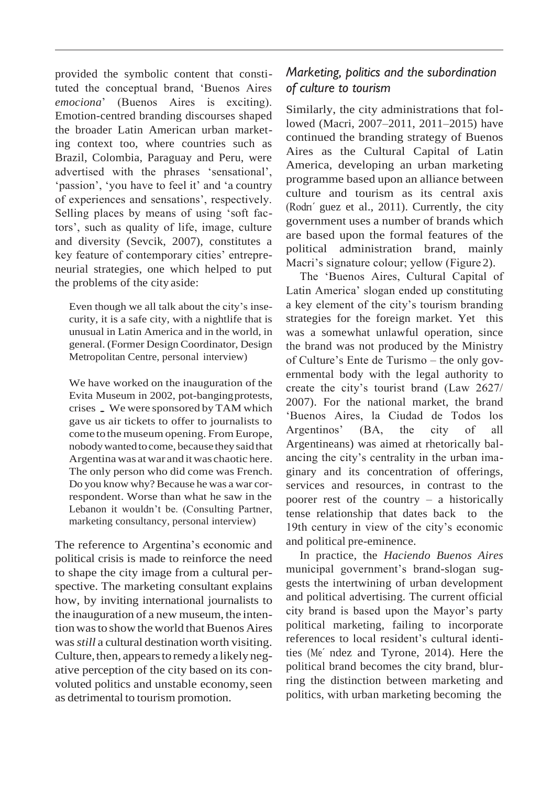provided the symbolic content that constituted the conceptual brand, 'Buenos Aires *emociona*' (Buenos Aires is exciting). Emotion-centred branding discourses shaped the broader Latin American urban marketing context too, where countries such as Brazil, Colombia, Paraguay and Peru, were advertised with the phrases 'sensational', 'passion', 'you have to feel it' and 'a country of experiences and sensations', respectively. Selling places by means of using 'soft factors', such as quality of life, image, culture and diversity (Sevcik, 2007), constitutes a key feature of contemporary cities' entrepreneurial strategies, one which helped to put the problems of the city aside:

Even though we all talk about the city's insecurity, it is a safe city, with a nightlife that is unusual in Latin America and in the world, in general. (Former Design Coordinator, Design Metropolitan Centre, personal interview)

We have worked on the inauguration of the Evita Museum in 2002, pot-bangingprotests, We have worked on the inauguration of the<br>Evita Museum in 2002, pot-banging protests,<br>crises  $\Box$  We were sponsored by TAM which gave us air tickets to offer to journalists to come to the museumopening. FromEurope, nobody wanted to come, because they said that Argentina was atwar and itwas chaotic here. The only person who did come was French. Do you know why? Because he was a war correspondent. Worse than what he saw in the Lebanon it wouldn't be. (Consulting Partner, marketing consultancy, personal interview)

The reference to Argentina's economic and political crisis is made to reinforce the need to shape the city image from a cultural perspective. The marketing consultant explains how, by inviting international journalists to the inauguration of a new museum, the intention was to show the world that Buenos Aires was*still* a cultural destination worth visiting. Culture, then, appears to remedy a likely negative perception of the city based on its convoluted politics and unstable economy, seen as detrimental to tourism promotion.

#### *Marketing, politics and the subordination of culture to tourism*

Similarly, the city administrations that followed (Macri, 2007–2011, 2011–2015) have continued the branding strategy of Buenos Aires as the Cultural Capital of Latin America, developing an urban marketing programme based upon an alliance between culture and tourism as its central axis (Rodrı´ guez et al., 2011). Currently, the city government uses a number of brands which are based upon the formal features of the political administration brand, mainly Macri's signature colour; yellow (Figure 2).

The 'Buenos Aires, Cultural Capital of Latin America' slogan ended up constituting a key element of the city's tourism branding strategies for the foreign market. Yet this was a somewhat unlawful operation, since the brand was not produced by the Ministry of Culture's Ente de Turismo – the only governmental body with the legal authority to create the city's tourist brand (Law 2627/ 2007). For the national market, the brand 'Buenos Aires, la Ciudad de Todos los Argentinos' (BA, the city of all Argentineans) was aimed at rhetorically balancing the city's centrality in the urban imaginary and its concentration of offerings, services and resources, in contrast to the poorer rest of the country – a historically tense relationship that dates back to the 19th century in view of the city's economic and political pre-eminence.

In practice, the *Haciendo Buenos Aires*  municipal government's brand-slogan suggests the intertwining of urban development and political advertising. The current official city brand is based upon the Mayor's party political marketing, failing to incorporate references to local resident's cultural identities (Me´ ndez and Tyrone, 2014). Here the political brand becomes the city brand, blurring the distinction between marketing and politics, with urban marketing becoming the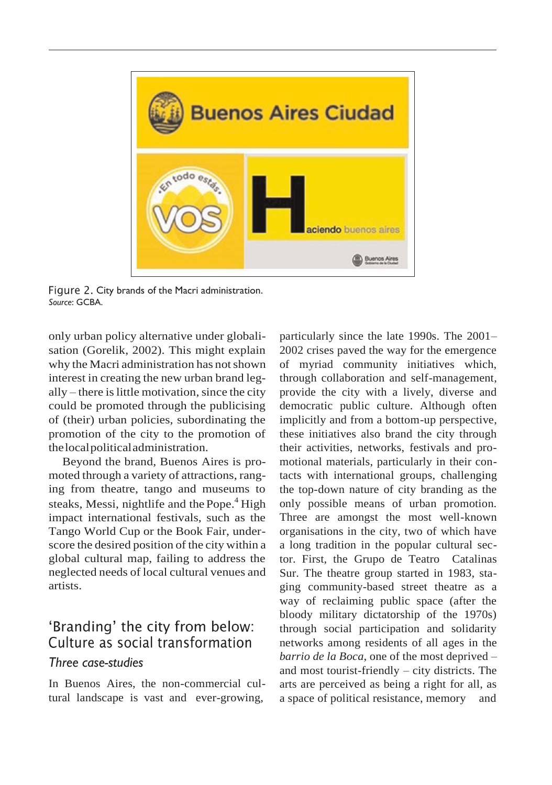

Figure 2. City brands of the Macri administration. *Source*: GCBA.

only urban policy alternative under globalisation (Gorelik, 2002). This might explain why the Macri administration has notshown interest in creating the new urban brand leg $ally$  – there is little motivation, since the city could be promoted through the publicising of (their) urban policies, subordinating the promotion of the city to the promotion of thelocalpoliticaladministration.

Beyond the brand, Buenos Aires is promoted through a variety of attractions, ranging from theatre, tango and museums to steaks, Messi, nightlife and the Pope.<sup>4</sup> High impact international festivals, such as the Tango World Cup or the Book Fair, underscore the desired position of the city within a global cultural map, failing to address the neglected needs of local cultural venues and artists.

## 'Branding' the city from below: Culture as social transformation

#### *Three case-studies*

In Buenos Aires, the non-commercial cultural landscape is vast and ever-growing, particularly since the late 1990s. The 2001– 2002 crises paved the way for the emergence of myriad community initiatives which, through collaboration and self-management, provide the city with a lively, diverse and democratic public culture. Although often implicitly and from a bottom-up perspective, these initiatives also brand the city through their activities, networks, festivals and promotional materials, particularly in their contacts with international groups, challenging the top-down nature of city branding as the only possible means of urban promotion. Three are amongst the most well-known organisations in the city, two of which have a long tradition in the popular cultural sector. First, the Grupo de Teatro Catalinas Sur. The theatre group started in 1983, staging community-based street theatre as a way of reclaiming public space (after the bloody military dictatorship of the 1970s) through social participation and solidarity networks among residents of all ages in the *barrio de la Boca*, one of the most deprived – and most tourist-friendly – city districts. The arts are perceived as being a right for all, as a space of political resistance, memory and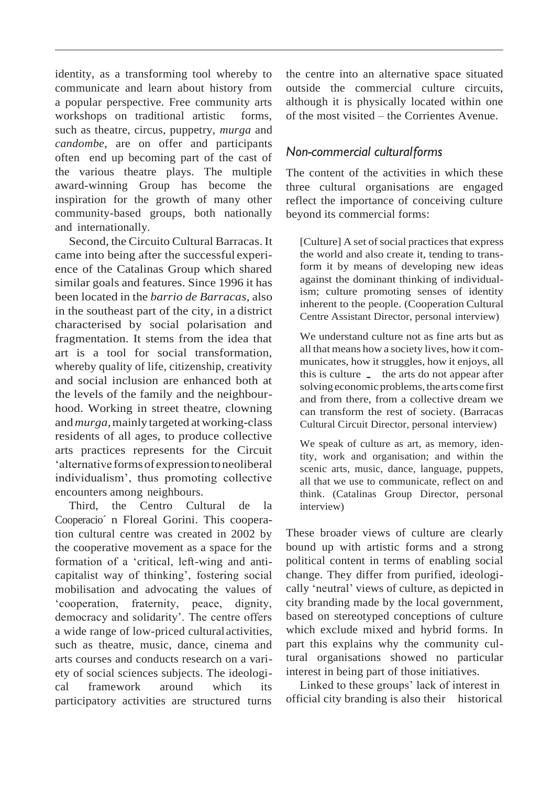identity, as a transforming tool whereby to communicate and learn about history from a popular perspective. Free community arts workshops on traditional artistic forms, such as theatre, circus, puppetry, *murga* and *candombe*, are on offer and participants often end up becoming part of the cast of the various theatre plays. The multiple award-winning Group has become the inspiration for the growth of many other community-based groups, both nationally and internationally.

Second, the Circuito Cultural Barracas.It came into being after the successful experience of the Catalinas Group which shared similar goals and features. Since 1996 it has been located in the *barrio de Barracas*, also in the southeast part of the city, in a district characterised by social polarisation and fragmentation. It stems from the idea that art is a tool for social transformation, whereby quality of life, citizenship, creativity and social inclusion are enhanced both at the levels of the family and the neighbourhood. Working in street theatre, clowning and*murga*,mainly targeted atworking-class residents of all ages, to produce collective arts practices represents for the Circuit 'alternative formsofexpressiontoneoliberal individualism', thus promoting collective encounters among neighbours.

Third, the Centro Cultural de la Cooperacio´ n Floreal Gorini. This cooperation cultural centre was created in 2002 by the cooperative movement as a space for the formation of a 'critical, left-wing and anticapitalist way of thinking', fostering social mobilisation and advocating the values of 'cooperation, fraternity, peace, dignity, democracy and solidarity'. The centre offers a wide range of low-priced cultural activities, such as theatre, music, dance, cinema and arts courses and conducts research on a variety of social sciences subjects. The ideological framework around which its participatory activities are structured turns

the centre into an alternative space situated outside the commercial culture circuits, although it is physically located within one of the most visited – the Corrientes Avenue.

#### *Non-commercial culturalforms*

The content of the activities in which these three cultural organisations are engaged reflect the importance of conceiving culture beyond its commercial forms:

[Culture] A set of social practices that express the world and also create it, tending to transform it by means of developing new ideas against the dominant thinking of individualism; culture promoting senses of identity inherent to the people. (Cooperation Cultural Centre Assistant Director, personal interview)

We understand culture not as fine arts but as all that means how a society lives, how it communicates, how it struggles, how it enjoys, all all that means how a society lives, how it com-<br>municates, how it struggles, how it enjoys, all<br>this is culture the arts do not appear after<br>relating appear and hours the arts come first solving economic problems, the arts come first and from there, from a collective dream we can transform the rest of society. (Barracas Cultural Circuit Director, personal interview)

We speak of culture as art, as memory, identity, work and organisation; and within the scenic arts, music, dance, language, puppets, all that we use to communicate, reflect on and think. (Catalinas Group Director, personal interview)

These broader views of culture are clearly bound up with artistic forms and a strong political content in terms of enabling social change. They differ from purified, ideologically 'neutral' views of culture, as depicted in city branding made by the local government, based on stereotyped conceptions of culture which exclude mixed and hybrid forms. In part this explains why the community cultural organisations showed no particular interest in being part of those initiatives.

Linked to these groups' lack of interest in official city branding is also their historical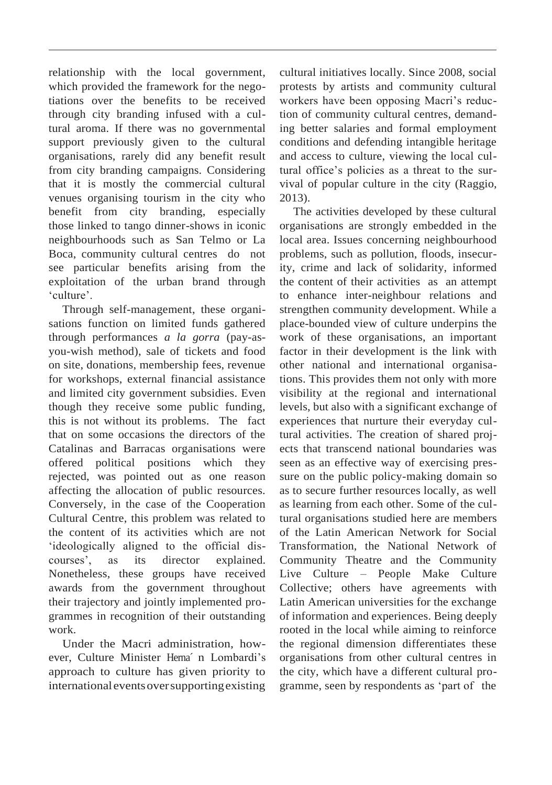relationship with the local government, which provided the framework for the negotiations over the benefits to be received through city branding infused with a cultural aroma. If there was no governmental support previously given to the cultural organisations, rarely did any benefit result from city branding campaigns. Considering that it is mostly the commercial cultural venues organising tourism in the city who benefit from city branding, especially those linked to tango dinner-shows in iconic neighbourhoods such as San Telmo or La Boca, community cultural centres do not see particular benefits arising from the exploitation of the urban brand through 'culture'.

Through self-management, these organisations function on limited funds gathered through performances *a la gorra* (pay-asyou-wish method), sale of tickets and food on site, donations, membership fees, revenue for workshops, external financial assistance and limited city government subsidies. Even though they receive some public funding, this is not without its problems. The fact that on some occasions the directors of the Catalinas and Barracas organisations were offered political positions which they rejected, was pointed out as one reason affecting the allocation of public resources. Conversely, in the case of the Cooperation Cultural Centre, this problem was related to the content of its activities which are not 'ideologically aligned to the official discourses', as its director explained. Nonetheless, these groups have received awards from the government throughout their trajectory and jointly implemented programmes in recognition of their outstanding work.

Under the Macri administration, however, Culture Minister Herna´ n Lombardi's approach to culture has given priority to internationaleventsoversupportingexisting

cultural initiatives locally. Since 2008, social protests by artists and community cultural workers have been opposing Macri's reduction of community cultural centres, demanding better salaries and formal employment conditions and defending intangible heritage and access to culture, viewing the local cultural office's policies as a threat to the survival of popular culture in the city (Raggio, 2013).

The activities developed by these cultural organisations are strongly embedded in the local area. Issues concerning neighbourhood problems, such as pollution, floods, insecurity, crime and lack of solidarity, informed the content of their activities as an attempt to enhance inter-neighbour relations and strengthen community development. While a place-bounded view of culture underpins the work of these organisations, an important factor in their development is the link with other national and international organisations. This provides them not only with more visibility at the regional and international levels, but also with a significant exchange of experiences that nurture their everyday cultural activities. The creation of shared projects that transcend national boundaries was seen as an effective way of exercising pressure on the public policy-making domain so as to secure further resources locally, as well as learning from each other. Some of the cultural organisations studied here are members of the Latin American Network for Social Transformation, the National Network of Community Theatre and the Community Live Culture – People Make Culture Collective; others have agreements with Latin American universities for the exchange of information and experiences. Being deeply rooted in the local while aiming to reinforce the regional dimension differentiates these organisations from other cultural centres in the city, which have a different cultural programme, seen by respondents as 'part of the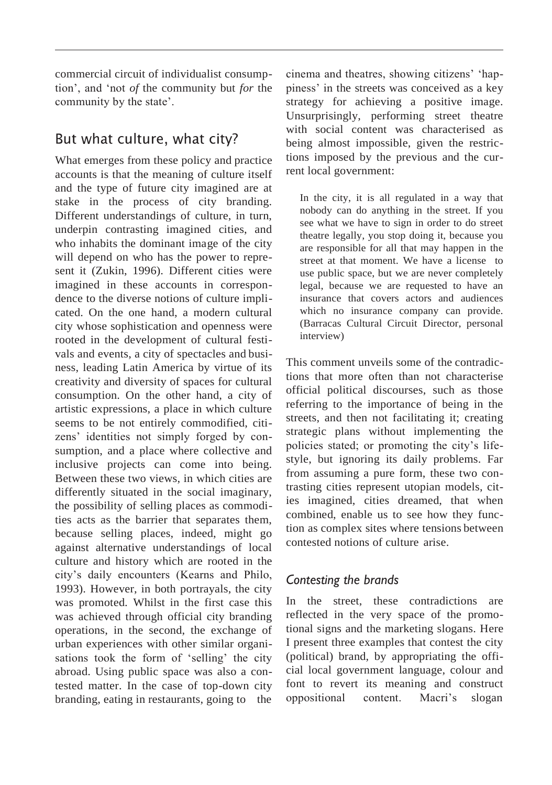commercial circuit of individualist consumption', and 'not *of* the community but *for* the community by the state'.

## But what culture, what city?

What emerges from these policy and practice accounts is that the meaning of culture itself and the type of future city imagined are at stake in the process of city branding. Different understandings of culture, in turn, underpin contrasting imagined cities, and who inhabits the dominant image of the city will depend on who has the power to represent it (Zukin, 1996). Different cities were imagined in these accounts in correspondence to the diverse notions of culture implicated. On the one hand, a modern cultural city whose sophistication and openness were rooted in the development of cultural festivals and events, a city of spectacles and business, leading Latin America by virtue of its creativity and diversity of spaces for cultural consumption. On the other hand, a city of artistic expressions, a place in which culture seems to be not entirely commodified, citizens' identities not simply forged by consumption, and a place where collective and inclusive projects can come into being. Between these two views, in which cities are differently situated in the social imaginary, the possibility of selling places as commodities acts as the barrier that separates them, because selling places, indeed, might go against alternative understandings of local culture and history which are rooted in the city's daily encounters (Kearns and Philo, 1993). However, in both portrayals, the city was promoted. Whilst in the first case this was achieved through official city branding operations, in the second, the exchange of urban experiences with other similar organisations took the form of 'selling' the city abroad. Using public space was also a contested matter. In the case of top-down city branding, eating in restaurants, going to the

cinema and theatres, showing citizens' 'happiness' in the streets was conceived as a key strategy for achieving a positive image. Unsurprisingly, performing street theatre with social content was characterised as being almost impossible, given the restrictions imposed by the previous and the current local government:

In the city, it is all regulated in a way that nobody can do anything in the street. If you see what we have to sign in order to do street theatre legally, you stop doing it, because you are responsible for all that may happen in the street at that moment. We have a license to use public space, but we are never completely legal, because we are requested to have an insurance that covers actors and audiences which no insurance company can provide. (Barracas Cultural Circuit Director, personal interview)

This comment unveils some of the contradictions that more often than not characterise official political discourses, such as those referring to the importance of being in the streets, and then not facilitating it; creating strategic plans without implementing the policies stated; or promoting the city's lifestyle, but ignoring its daily problems. Far from assuming a pure form, these two contrasting cities represent utopian models, cities imagined, cities dreamed, that when combined, enable us to see how they function as complex sites where tensions between contested notions of culture arise.

#### *Contesting the brands*

In the street, these contradictions are reflected in the very space of the promotional signs and the marketing slogans. Here I present three examples that contest the city (political) brand, by appropriating the official local government language, colour and font to revert its meaning and construct oppositional content. Macri's slogan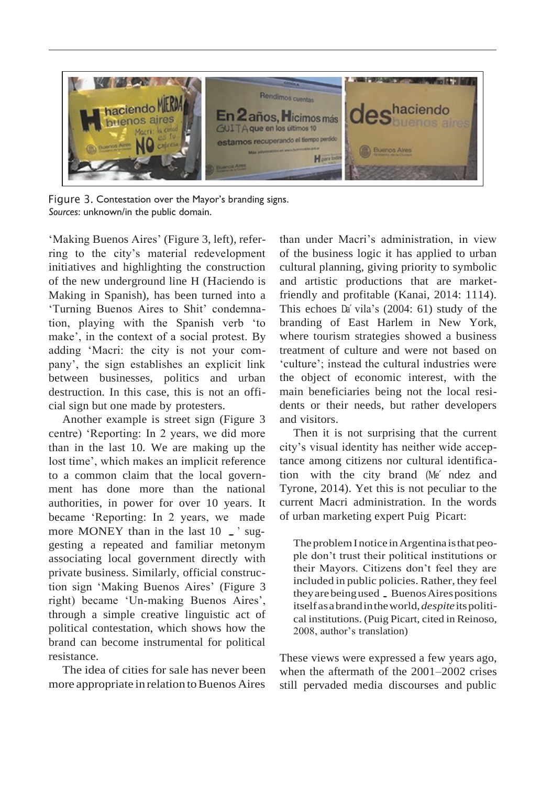

Figure 3. Contestation over the Mayor's branding signs. *Sources*: unknown/in the public domain.

'Making Buenos Aires' (Figure 3, left), referring to the city's material redevelopment initiatives and highlighting the construction of the new underground line H (Haciendo is Making in Spanish), has been turned into a 'Turning Buenos Aires to Shit' condemnation, playing with the Spanish verb 'to make', in the context of a social protest. By adding 'Macri: the city is not your company', the sign establishes an explicit link between businesses, politics and urban destruction. In this case, this is not an official sign but one made by protesters.

Another example is street sign (Figure 3 centre) 'Reporting: In 2 years, we did more than in the last 10. We are making up the lost time', which makes an implicit reference to a common claim that the local government has done more than the national authorities, in power for over 10 years. It<br>became 'Reporting: In 2 years, we made<br>more MONEY than in the last  $10 - i$  sug-<br>gesting a reported and familiar materials became 'Reporting: In 2 years, we made gesting a repeated and familiar metonym associating local government directly with private business. Similarly, official construction sign 'Making Buenos Aires' (Figure 3 right) became 'Un-making Buenos Aires', through a simple creative linguistic act of political contestation, which shows how the brand can become instrumental for political resistance.

The idea of cities for sale has never been more appropriate in relation to Buenos Aires

than under Macri's administration, in view of the business logic it has applied to urban cultural planning, giving priority to symbolic and artistic productions that are marketfriendly and profitable (Kanai, 2014: 1114). This echoes Da' vila's (2004: 61) study of the branding of East Harlem in New York, where tourism strategies showed a business treatment of culture and were not based on 'culture'; instead the cultural industries were the object of economic interest, with the main beneficiaries being not the local residents or their needs, but rather developers and visitors.

Then it is not surprising that the current city's visual identity has neither wide acceptance among citizens nor cultural identification with the city brand (Me´ ndez and Tyrone, 2014). Yet this is not peculiar to the current Macri administration. In the words of urban marketing expert Puig Picart:

The problem I notice in Argentina is that people don't trust their political institutions or their Mayors. Citizens don't feel they are their Mayors. Citizens don't feel they are<br>
included in public policies. Rather, they feel<br>
they are being used . Buenos Aires positions itselfasabrandintheworld,*despite*itspolitical institutions. (Puig Picart, cited in Reinoso, 2008, author's translation)

These views were expressed a few years ago, when the aftermath of the 2001–2002 crises still pervaded media discourses and public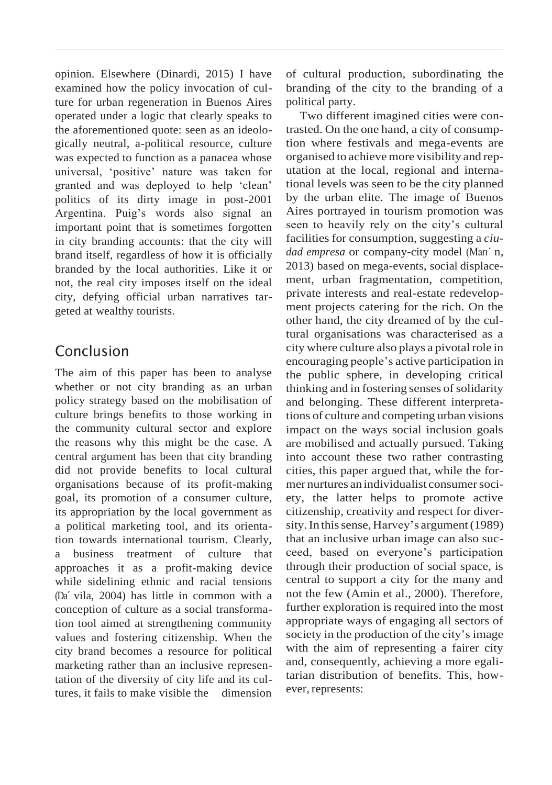opinion. Elsewhere (Dinardi, 2015) I have examined how the policy invocation of culture for urban regeneration in Buenos Aires operated under a logic that clearly speaks to the aforementioned quote: seen as an ideologically neutral, a-political resource, culture was expected to function as a panacea whose universal, 'positive' nature was taken for granted and was deployed to help 'clean' politics of its dirty image in post-2001 Argentina. Puig's words also signal an important point that is sometimes forgotten in city branding accounts: that the city will brand itself, regardless of how it is officially branded by the local authorities. Like it or not, the real city imposes itself on the ideal city, defying official urban narratives targeted at wealthy tourists.

#### Conclusion

The aim of this paper has been to analyse whether or not city branding as an urban policy strategy based on the mobilisation of culture brings benefits to those working in the community cultural sector and explore the reasons why this might be the case. A central argument has been that city branding did not provide benefits to local cultural organisations because of its profit-making goal, its promotion of a consumer culture, its appropriation by the local government as a political marketing tool, and its orientation towards international tourism. Clearly, a business treatment of culture that approaches it as a profit-making device while sidelining ethnic and racial tensions (Da´ vila, 2004) has little in common with a conception of culture as a social transformation tool aimed at strengthening community values and fostering citizenship. When the city brand becomes a resource for political marketing rather than an inclusive representation of the diversity of city life and its cultures, it fails to make visible the dimension

of cultural production, subordinating the branding of the city to the branding of a political party.

Two different imagined cities were contrasted. On the one hand, a city of consumption where festivals and mega-events are organised to achieve more visibility and reputation at the local, regional and international levels was seen to be the city planned by the urban elite. The image of Buenos Aires portrayed in tourism promotion was seen to heavily rely on the city's cultural facilities for consumption, suggesting a *ciudad empresa* or company-city model (Marı´ n, 2013) based on mega-events, social displacement, urban fragmentation, competition, private interests and real-estate redevelopment projects catering for the rich. On the other hand, the city dreamed of by the cultural organisations was characterised as a city where culture also plays a pivotal role in encouraging people's active participation in the public sphere, in developing critical thinking and in fostering senses of solidarity and belonging. These different interpretations of culture and competing urban visions impact on the ways social inclusion goals are mobilised and actually pursued. Taking into account these two rather contrasting cities, this paper argued that, while the former nurtures an individualist consumersociety, the latter helps to promote active citizenship, creativity and respect for diversity. In this sense, Harvey's argument (1989) that an inclusive urban image can also succeed, based on everyone's participation through their production of social space, is central to support a city for the many and not the few (Amin et al., 2000). Therefore, further exploration is required into the most appropriate ways of engaging all sectors of society in the production of the city's image with the aim of representing a fairer city and, consequently, achieving a more egalitarian distribution of benefits. This, however, represents: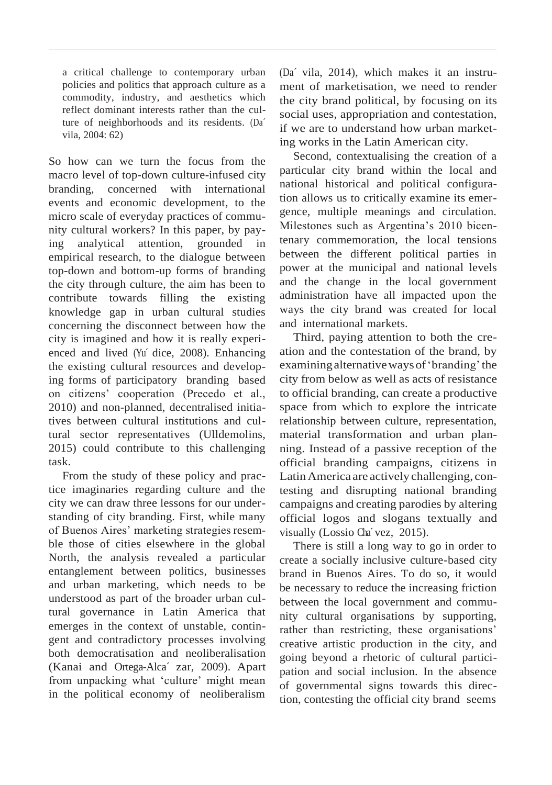a critical challenge to contemporary urban policies and politics that approach culture as a commodity, industry, and aesthetics which reflect dominant interests rather than the culture of neighborhoods and its residents. (Da´ vila, 2004: 62)

So how can we turn the focus from the macro level of top-down culture-infused city branding, concerned with international events and economic development, to the micro scale of everyday practices of community cultural workers? In this paper, by paying analytical attention, grounded in empirical research, to the dialogue between top-down and bottom-up forms of branding the city through culture, the aim has been to contribute towards filling the existing knowledge gap in urban cultural studies concerning the disconnect between how the city is imagined and how it is really experienced and lived (Yu´ dice, 2008). Enhancing the existing cultural resources and developing forms of participatory branding based on citizens' cooperation (Precedo et al., 2010) and non-planned, decentralised initiatives between cultural institutions and cultural sector representatives (Ulldemolins, 2015) could contribute to this challenging task.

From the study of these policy and practice imaginaries regarding culture and the city we can draw three lessons for our understanding of city branding. First, while many of Buenos Aires' marketing strategies resemble those of cities elsewhere in the global North, the analysis revealed a particular entanglement between politics, businesses and urban marketing, which needs to be understood as part of the broader urban cultural governance in Latin America that emerges in the context of unstable, contingent and contradictory processes involving both democratisation and neoliberalisation (Kanai and Ortega-Alca´ zar, 2009). Apart from unpacking what 'culture' might mean in the political economy of neoliberalism

(Da´ vila, 2014), which makes it an instrument of marketisation, we need to render the city brand political, by focusing on its social uses, appropriation and contestation, if we are to understand how urban marketing works in the Latin American city.

Second, contextualising the creation of a particular city brand within the local and national historical and political configuration allows us to critically examine its emergence, multiple meanings and circulation. Milestones such as Argentina's 2010 bicentenary commemoration, the local tensions between the different political parties in power at the municipal and national levels and the change in the local government administration have all impacted upon the ways the city brand was created for local and international markets.

Third, paying attention to both the creation and the contestation of the brand, by examiningalternativewaysof'branding'the city from below as well as acts of resistance to official branding, can create a productive space from which to explore the intricate relationship between culture, representation, material transformation and urban planning. Instead of a passive reception of the official branding campaigns, citizens in LatinAmerica are actively challenging, contesting and disrupting national branding campaigns and creating parodies by altering official logos and slogans textually and visually (Lossio Cha´ vez, 2015).

There is still a long way to go in order to create a socially inclusive culture-based city brand in Buenos Aires. To do so, it would be necessary to reduce the increasing friction between the local government and community cultural organisations by supporting, rather than restricting, these organisations' creative artistic production in the city, and going beyond a rhetoric of cultural participation and social inclusion. In the absence of governmental signs towards this direction, contesting the official city brand seems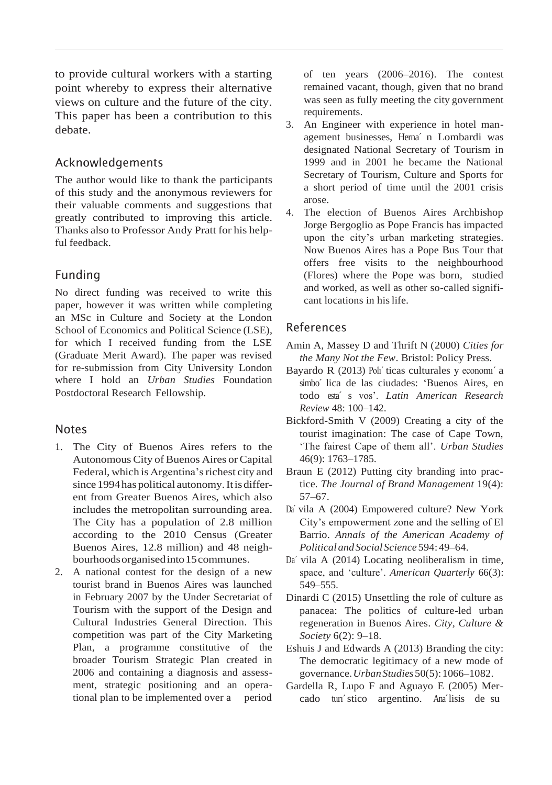to provide cultural workers with a starting point whereby to express their alternative views on culture and the future of the city. This paper has been a contribution to this debate.

#### Acknowledgements

The author would like to thank the participants of this study and the anonymous reviewers for their valuable comments and suggestions that greatly contributed to improving this article. Thanks also to Professor Andy Pratt for his helpful feedback.

#### Funding

No direct funding was received to write this paper, however it was written while completing an MSc in Culture and Society at the London School of Economics and Political Science (LSE), for which I received funding from the LSE (Graduate Merit Award). The paper was revised for re-submission from City University London where I hold an *Urban Studies* Foundation Postdoctoral Research Fellowship.

#### **Notes**

- 1. The City of Buenos Aires refers to the Autonomous City of Buenos Aires or Capital Federal, which is Argentina's richest city and since 1994 has political autonomy. It is different from Greater Buenos Aires, which also includes the metropolitan surrounding area. The City has a population of 2.8 million according to the 2010 Census (Greater Buenos Aires, 12.8 million) and 48 neighbourhoods organised into 15 communes.
- 2. A national contest for the design of a new tourist brand in Buenos Aires was launched in February 2007 by the Under Secretariat of Tourism with the support of the Design and Cultural Industries General Direction. This competition was part of the City Marketing Plan, a programme constitutive of the broader Tourism Strategic Plan created in 2006 and containing a diagnosis and assessment, strategic positioning and an operational plan to be implemented over a period

of ten years (2006–2016). The contest remained vacant, though, given that no brand was seen as fully meeting the city government requirements.

- 3. An Engineer with experience in hotel management businesses, Herna´ n Lombardi was designated National Secretary of Tourism in 1999 and in 2001 he became the National Secretary of Tourism, Culture and Sports for a short period of time until the 2001 crisis arose.
- 4. The election of Buenos Aires Archbishop Jorge Bergoglio as Pope Francis has impacted upon the city's urban marketing strategies. Now Buenos Aires has a Pope Bus Tour that offers free visits to the neighbourhood (Flores) where the Pope was born, studied and worked, as well as other so-called significant locations in hislife.

#### References

- Amin A, Massey D and Thrift N (2000) *Cities for the Many Not the Few*. Bristol: Policy Press.
- Bayardo R (2013) Polı´ ticas culturales y economı´ a simbo´ lica de las ciudades: 'Buenos Aires, en todo esta´ s vos'. *Latin American Research Review* 48: 100–142.
- Bickford-Smith V (2009) Creating a city of the tourist imagination: The case of Cape Town, 'The fairest Cape of them all'. *Urban Studies*  46(9): 1763–1785.
- Braun E (2012) Putting city branding into practice. *The Journal of Brand Management* 19(4): 57–67.
- Da´ vila A (2004) Empowered culture? New York City's empowerment zone and the selling of El Barrio. *Annals of the American Academy of Political and SocialScience* 594: 49–64.
- Da´ vila A (2014) Locating neoliberalism in time, space, and 'culture'. *American Quarterly* 66(3): 549–555.
- Dinardi C (2015) Unsettling the role of culture as panacea: The politics of culture-led urban regeneration in Buenos Aires. *City, Culture & Society* 6(2): 9–18.
- Eshuis J and Edwards A (2013) Branding the city: The democratic legitimacy of a new mode of governance.*UrbanStudies*50(5):1066–1082.
- Gardella R, Lupo F and Aguayo E (2005) Mercado turı´ stico argentino. Ana´ lisis de su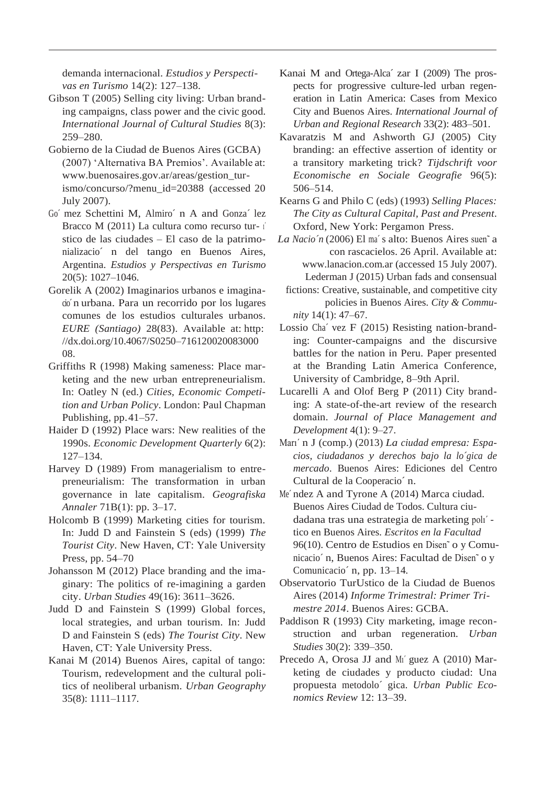demanda internacional. *Estudios y Perspectivas en Turismo* 14(2): 127–138.

- Gibson T (2005) Selling city living: Urban branding campaigns, class power and the civic good. *International Journal of Cultural Studies* 8(3): 259–280.
- Gobierno de la Ciudad de Buenos Aires (GCBA) (2007) 'Alternativa BA Premios'. Available at: [www.buenosaires.gov.ar/areas/gestion\\_tur](http://www.buenosaires.gov.ar/areas/gestion_tur-)ismo/concurso/?menu\_id=20388 (accessed 20 July 2007).
- Go´ mez Schettini M, Almiro´ n A and Gonza´ lez Bracco M (2011) La cultura como recurso tur- i stico de las ciudades – El caso de la patrimonializacio´ n del tango en Buenos Aires, Argentina. *Estudios y Perspectivas en Turismo*  20(5): 1027–1046.
- Gorelik A (2002) Imaginarios urbanos e imaginacio´ n urbana. Para un recorrido por los lugares comunes de los estudios culturales urbanos. *EURE (Santiago)* 28(83). Available at: http: //dx.doi.org/10.4067/S0250–716120020083000 08.
- Griffiths R (1998) Making sameness: Place marketing and the new urban entrepreneurialism. In: Oatley N (ed.) *Cities, Economic Competition and Urban Policy*. London: Paul Chapman Publishing, pp.41–57.
- Haider D (1992) Place wars: New realities of the 1990s. *Economic Development Quarterly* 6(2): 127–134.
- Harvey D (1989) From managerialism to entrepreneurialism: The transformation in urban governance in late capitalism. *Geografiska Annaler* 71B(1): pp. 3–17.
- Holcomb B (1999) Marketing cities for tourism. In: Judd D and Fainstein S (eds) (1999) *The Tourist City*. New Haven, CT: Yale University Press, pp. 54–70
- Johansson M (2012) Place branding and the imaginary: The politics of re-imagining a garden city. *Urban Studies* 49(16): 3611–3626.
- Judd D and Fainstein S (1999) Global forces, local strategies, and urban tourism. In: Judd D and Fainstein S (eds) *The Tourist City*. New Haven, CT: Yale University Press.
- Kanai M (2014) Buenos Aires, capital of tango: Tourism, redevelopment and the cultural politics of neoliberal urbanism. *Urban Geography*  35(8): 1111–1117.
- Kanai M and Ortega-Alca´ zar I (2009) The prospects for progressive culture-led urban regeneration in Latin America: Cases from Mexico City and Buenos Aires. *International Journal of Urban and Regional Research* 33(2): 483–501.
- Kavaratzis M and Ashworth GJ (2005) City branding: an effective assertion of identity or a transitory marketing trick? *Tijdschrift voor Economische en Sociale Geografie* 96(5): 506–514.
- Kearns G and Philo C (eds) (1993) *Selling Places: The City as Cultural Capital, Past and Present*. Oxford, New York: Pergamon Press.
- *La Nacio´n* (2006) El ma´ s alto: Buenos Aires suen˜ a con rascacielos. 26 April. Available at: [www.lanacion.com.ar](http://www.lanacion.com.ar/) (accessed 15 July 2007). Lederman J (2015) Urban fads and consensual
	- fictions: Creative, sustainable, and competitive city policies in Buenos Aires. *City & Community* 14(1): 47–67.
- Lossio Cha´ vez F (2015) Resisting nation-branding: Counter-campaigns and the discursive battles for the nation in Peru. Paper presented at the Branding Latin America Conference, University of Cambridge, 8–9th April.
- Lucarelli A and Olof Berg P (2011) City branding: A state-of-the-art review of the research domain. *Journal of Place Management and Development* 4(1): 9–27.
- Marı´ n J (comp.) (2013) *La ciudad empresa: Espacios, ciudadanos y derechos bajo la lo´gica de mercado*. Buenos Aires: Ediciones del Centro Cultural de la Cooperacio´ n.
- Me´ ndez A and Tyrone A (2014) Marca ciudad. Buenos Aires Ciudad de Todos. Cultura ciudadana tras una estrategia de marketing polı´ tico en Buenos Aires. *Escritos en la Facultad*  96(10). Centro de Estudios en Disen˜ o y Comunicacio´ n, Buenos Aires: Facultad de Disen˜ o y Comunicacio´ n, pp. 13–14.
- Observatorio TurUstico de la Ciudad de Buenos Aires (2014) *Informe Trimestral: Primer Trimestre 2014*. Buenos Aires: GCBA.
- Paddison R (1993) City marketing, image reconstruction and urban regeneration. *Urban Studies* 30(2): 339–350.
- Precedo A, Orosa JJ and Mı´ guez A (2010) Marketing de ciudades y producto ciudad: Una propuesta metodolo´ gica. *Urban Public Economics Review* 12: 13–39.